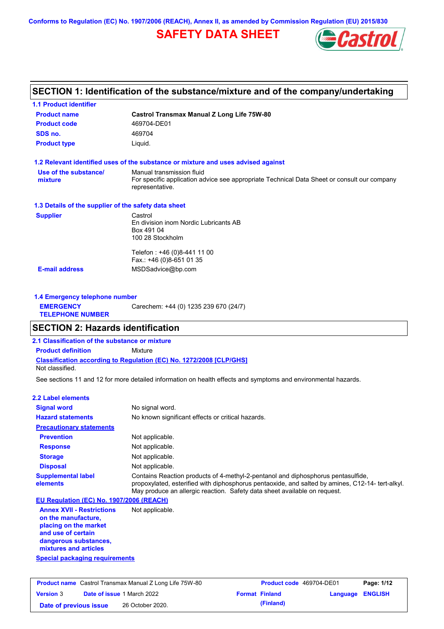**Conforms to Regulation (EC) No. 1907/2006 (REACH), Annex II, as amended by Commission Regulation (EU) 2015/830**

## **SAFETY DATA SHEET**



# **SECTION 1: Identification of the substance/mixture and of the company/undertaking**

| <b>1.1 Product identifier</b>                        |                                                                                                                                             |
|------------------------------------------------------|---------------------------------------------------------------------------------------------------------------------------------------------|
| <b>Product name</b>                                  | <b>Castrol Transmax Manual Z Long Life 75W-80</b>                                                                                           |
| <b>Product code</b>                                  | 469704-DE01                                                                                                                                 |
| SDS no.                                              | 469704                                                                                                                                      |
| <b>Product type</b>                                  | Liquid.                                                                                                                                     |
|                                                      | 1.2 Relevant identified uses of the substance or mixture and uses advised against                                                           |
| Use of the substance/<br>mixture                     | Manual transmission fluid<br>For specific application advice see appropriate Technical Data Sheet or consult our company<br>representative. |
| 1.3 Details of the supplier of the safety data sheet |                                                                                                                                             |
| <b>Supplier</b>                                      | Castrol<br>En division inom Nordic Lubricants AB<br>Box 491 04<br>100 28 Stockholm                                                          |
|                                                      | Telefon: +46 (0)8-441 11 00<br>Fax.: +46 (0)8-651 01 35                                                                                     |
| <b>E-mail address</b>                                | MSDSadvice@bp.com                                                                                                                           |
| 1.4 Emergency telephone number                       |                                                                                                                                             |
| <b>EMERGENCY</b><br><b>TELEPHONE NUMBER</b>          | Carechem: +44 (0) 1235 239 670 (24/7)                                                                                                       |
| <b>SECTION 2: Hazards identification</b>             |                                                                                                                                             |
| 2.1 Classification of the substance or mixture       |                                                                                                                                             |
| <b>Product definition</b>                            | Mixture                                                                                                                                     |
| Not classified.                                      | Classification according to Regulation (EC) No. 1272/2008 [CLP/GHS]                                                                         |
|                                                      | See sections 11 and 12 for more detailed information on health effects and symptoms and environmental hazards.                              |
| 2.2 Label elements                                   |                                                                                                                                             |
| <b>Signal word</b>                                   | No signal word.                                                                                                                             |
| <b>Hazard statements</b>                             | No known significant effects or critical hazards.                                                                                           |
| <b>Precautionary statements</b>                      |                                                                                                                                             |
| <b>Prevention</b>                                    | Not applicable                                                                                                                              |

| <b>Prevention</b>                                       | Not applicable.                                                                                                                                                                                                                                                   |
|---------------------------------------------------------|-------------------------------------------------------------------------------------------------------------------------------------------------------------------------------------------------------------------------------------------------------------------|
| <b>Response</b>                                         | Not applicable.                                                                                                                                                                                                                                                   |
| <b>Storage</b>                                          | Not applicable.                                                                                                                                                                                                                                                   |
| <b>Disposal</b>                                         | Not applicable.                                                                                                                                                                                                                                                   |
| <b>Supplemental label</b><br>elements                   | Contains Reaction products of 4-methyl-2-pentanol and diphosphorus pentasulfide.<br>propoxylated, esterified with diphosphorus pentaoxide, and salted by amines, C12-14- tert-alkyl.<br>May produce an allergic reaction. Safety data sheet available on request. |
| EU Regulation (EC) No. 1907/2006 (REACH)                |                                                                                                                                                                                                                                                                   |
| <b>Annex XVII - Restrictions</b><br>on the manufacture. | Not applicable.                                                                                                                                                                                                                                                   |

**placing on the market and use of certain dangerous substances, mixtures and articles**

|  | Special packaging requirements |  |
|--|--------------------------------|--|
|  |                                |  |

|                        | <b>Product name</b> Castrol Transmax Manual Z Long Life 75W-80 | Product code 469704-DE01 |                         | Page: 1/12 |
|------------------------|----------------------------------------------------------------|--------------------------|-------------------------|------------|
| <b>Version 3</b>       | <b>Date of issue 1 March 2022</b>                              | <b>Format Finland</b>    | <b>Language ENGLISH</b> |            |
| Date of previous issue | 26 October 2020.                                               | (Finland)                |                         |            |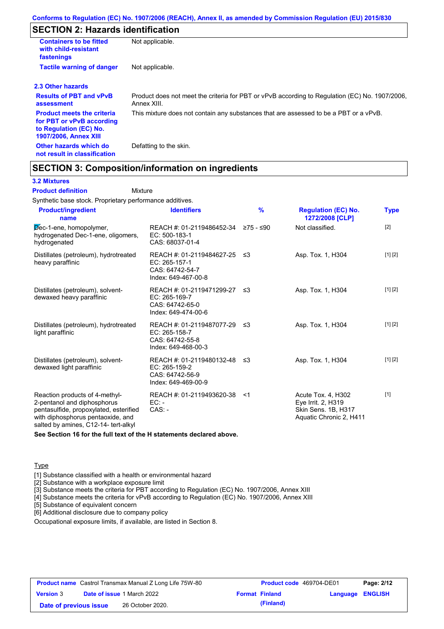## **SECTION 2: Hazards identification**

| <b>Containers to be fitted</b><br>with child-resistant<br>fastenings                                                     | Not applicable.                                                                                               |
|--------------------------------------------------------------------------------------------------------------------------|---------------------------------------------------------------------------------------------------------------|
| <b>Tactile warning of danger</b>                                                                                         | Not applicable.                                                                                               |
| 2.3 Other hazards                                                                                                        |                                                                                                               |
| <b>Results of PBT and vPvB</b><br>assessment                                                                             | Product does not meet the criteria for PBT or vPvB according to Regulation (EC) No. 1907/2006,<br>Annex XIII. |
| <b>Product meets the criteria</b><br>for PBT or vPvB according<br>to Regulation (EC) No.<br><b>1907/2006, Annex XIII</b> | This mixture does not contain any substances that are assessed to be a PBT or a vPvB.                         |
| Other hazards which do<br>not result in classification                                                                   | Defatting to the skin.                                                                                        |

### **SECTION 3: Composition/information on ingredients**

Mixture

#### **3.2 Mixtures**

#### **Product definition**

Synthetic base stock. Proprietary performance additives.

| <b>Product/ingredient</b><br>name                                                                                                                                                    | <b>Identifiers</b>                                                                      | $\frac{9}{6}$ | <b>Regulation (EC) No.</b><br>1272/2008 [CLP]                                              | <b>Type</b> |
|--------------------------------------------------------------------------------------------------------------------------------------------------------------------------------------|-----------------------------------------------------------------------------------------|---------------|--------------------------------------------------------------------------------------------|-------------|
| Dec-1-ene, homopolymer,<br>hydrogenated Dec-1-ene, oligomers,<br>hydrogenated                                                                                                        | REACH #: 01-2119486452-34 ≥75 - ≤90<br>EC: 500-183-1<br>CAS: 68037-01-4                 |               | Not classified.                                                                            | [2]         |
| Distillates (petroleum), hydrotreated<br>heavy paraffinic                                                                                                                            | REACH #: 01-2119484627-25 ≤3<br>EC: 265-157-1<br>CAS: 64742-54-7<br>Index: 649-467-00-8 |               | Asp. Tox. 1, H304                                                                          | [1] [2]     |
| Distillates (petroleum), solvent-<br>dewaxed heavy paraffinic                                                                                                                        | REACH #: 01-2119471299-27 ≤3<br>EC: 265-169-7<br>CAS: 64742-65-0<br>Index: 649-474-00-6 |               | Asp. Tox. 1, H304                                                                          | [1] [2]     |
| Distillates (petroleum), hydrotreated<br>light paraffinic                                                                                                                            | REACH #: 01-2119487077-29<br>EC: 265-158-7<br>CAS: 64742-55-8<br>Index: 649-468-00-3    | -≤3           | Asp. Tox. 1, H304                                                                          | [1] [2]     |
| Distillates (petroleum), solvent-<br>dewaxed light paraffinic                                                                                                                        | REACH #: 01-2119480132-48 ≤3<br>EC: 265-159-2<br>CAS: 64742-56-9<br>Index: 649-469-00-9 |               | Asp. Tox. 1, H304                                                                          | [1] [2]     |
| Reaction products of 4-methyl-<br>2-pentanol and diphosphorus<br>pentasulfide, propoxylated, esterified<br>with diphosphorus pentaoxide, and<br>salted by amines, C12-14- tert-alkyl | REACH #: 01-2119493620-38<br>$EC:$ -<br>$CAS. -$                                        | - <1          | Acute Tox. 4, H302<br>Eye Irrit. 2, H319<br>Skin Sens. 1B, H317<br>Aquatic Chronic 2, H411 | $[1]$       |

**See Section 16 for the full text of the H statements declared above.**

**Type** 

[1] Substance classified with a health or environmental hazard

[2] Substance with a workplace exposure limit

[3] Substance meets the criteria for PBT according to Regulation (EC) No. 1907/2006, Annex XIII

[4] Substance meets the criteria for vPvB according to Regulation (EC) No. 1907/2006, Annex XIII

[5] Substance of equivalent concern

[6] Additional disclosure due to company policy

Occupational exposure limits, if available, are listed in Section 8.

|                        | <b>Product name</b> Castrol Transmax Manual Z Long Life 75W-80 | <b>Product code</b> 469704-DE01 |                  | Page: 2/12 |
|------------------------|----------------------------------------------------------------|---------------------------------|------------------|------------|
| <b>Version 3</b>       | <b>Date of issue 1 March 2022</b>                              | <b>Format Finland</b>           | Language ENGLISH |            |
| Date of previous issue | 26 October 2020.                                               | (Finland)                       |                  |            |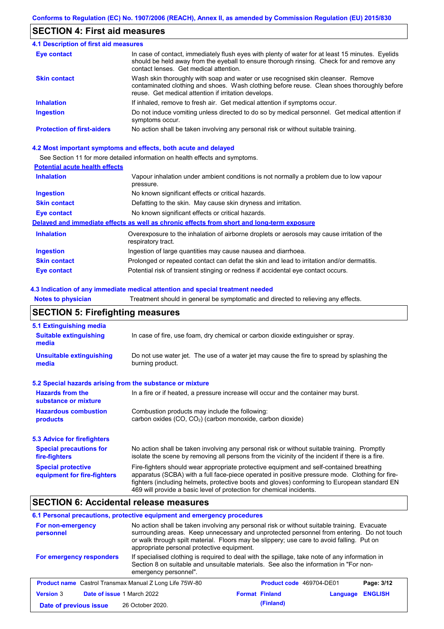## **SECTION 4: First aid measures**

| <b>4.1 Description of first aid measures</b> |                                                                                                                                                                                                                                         |
|----------------------------------------------|-----------------------------------------------------------------------------------------------------------------------------------------------------------------------------------------------------------------------------------------|
| <b>Eye contact</b>                           | In case of contact, immediately flush eyes with plenty of water for at least 15 minutes. Eyelids<br>should be held away from the eyeball to ensure thorough rinsing. Check for and remove any<br>contact lenses. Get medical attention. |
| <b>Skin contact</b>                          | Wash skin thoroughly with soap and water or use recognised skin cleanser. Remove<br>contaminated clothing and shoes. Wash clothing before reuse. Clean shoes thoroughly before<br>reuse. Get medical attention if irritation develops.  |
| <b>Inhalation</b>                            | If inhaled, remove to fresh air. Get medical attention if symptoms occur.                                                                                                                                                               |
| <b>Ingestion</b>                             | Do not induce vomiting unless directed to do so by medical personnel. Get medical attention if<br>symptoms occur.                                                                                                                       |
| <b>Protection of first-aiders</b>            | No action shall be taken involving any personal risk or without suitable training.                                                                                                                                                      |

### **4.2 Most important symptoms and effects, both acute and delayed**

See Section 11 for more detailed information on health effects and symptoms.

### **Potential acute health effects**

| <b>Inhalation</b>   | Vapour inhalation under ambient conditions is not normally a problem due to low vapour<br>pressure.               |
|---------------------|-------------------------------------------------------------------------------------------------------------------|
| <b>Ingestion</b>    | No known significant effects or critical hazards.                                                                 |
| <b>Skin contact</b> | Defatting to the skin. May cause skin dryness and irritation.                                                     |
| Eye contact         | No known significant effects or critical hazards.                                                                 |
|                     | Delayed and immediate effects as well as chronic effects from short and long-term exposure                        |
| <b>Inhalation</b>   | Overexposure to the inhalation of airborne droplets or aerosols may cause irritation of the<br>respiratory tract. |
| <b>Ingestion</b>    | Ingestion of large quantities may cause nausea and diarrhoea.                                                     |
| <b>Skin contact</b> | Prolonged or repeated contact can defat the skin and lead to irritation and/or dermatitis.                        |
| Eye contact         | Potential risk of transient stinging or redness if accidental eye contact occurs.                                 |

### **4.3 Indication of any immediate medical attention and special treatment needed**

**Notes to physician** Treatment should in general be symptomatic and directed to relieving any effects.

## **SECTION 5: Firefighting measures**

| 5.1 Extinguishing media                                                                                                                                                                                                                           |                                                                                                                                                                                                                                                                                                                                                                   |  |  |  |  |
|---------------------------------------------------------------------------------------------------------------------------------------------------------------------------------------------------------------------------------------------------|-------------------------------------------------------------------------------------------------------------------------------------------------------------------------------------------------------------------------------------------------------------------------------------------------------------------------------------------------------------------|--|--|--|--|
| <b>Suitable extinguishing</b><br>media                                                                                                                                                                                                            | In case of fire, use foam, dry chemical or carbon dioxide extinguisher or spray.                                                                                                                                                                                                                                                                                  |  |  |  |  |
| <b>Unsuitable extinguishing</b><br>media                                                                                                                                                                                                          | Do not use water jet. The use of a water jet may cause the fire to spread by splashing the<br>burning product.                                                                                                                                                                                                                                                    |  |  |  |  |
| 5.2 Special hazards arising from the substance or mixture                                                                                                                                                                                         |                                                                                                                                                                                                                                                                                                                                                                   |  |  |  |  |
| <b>Hazards from the</b><br>substance or mixture                                                                                                                                                                                                   | In a fire or if heated, a pressure increase will occur and the container may burst.                                                                                                                                                                                                                                                                               |  |  |  |  |
| <b>Hazardous combustion</b><br>Combustion products may include the following:<br>carbon oxides (CO, CO <sub>2</sub> ) (carbon monoxide, carbon dioxide)<br>products                                                                               |                                                                                                                                                                                                                                                                                                                                                                   |  |  |  |  |
| 5.3 Advice for firefighters                                                                                                                                                                                                                       |                                                                                                                                                                                                                                                                                                                                                                   |  |  |  |  |
| No action shall be taken involving any personal risk or without suitable training. Promptly<br><b>Special precautions for</b><br>isolate the scene by removing all persons from the vicinity of the incident if there is a fire.<br>fire-fighters |                                                                                                                                                                                                                                                                                                                                                                   |  |  |  |  |
| <b>Special protective</b><br>equipment for fire-fighters                                                                                                                                                                                          | Fire-fighters should wear appropriate protective equipment and self-contained breathing<br>apparatus (SCBA) with a full face-piece operated in positive pressure mode. Clothing for fire-<br>fighters (including helmets, protective boots and gloves) conforming to European standard EN<br>469 will provide a basic level of protection for chemical incidents. |  |  |  |  |

## **SECTION 6: Accidental release measures**

### **6.1 Personal precautions, protective equipment and emergency procedures**

| For non-emergency<br>personnel                                 | No action shall be taken involving any personal risk or without suitable training. Evacuate<br>surrounding areas. Keep unnecessary and unprotected personnel from entering. Do not touch<br>or walk through spilt material. Floors may be slippery; use care to avoid falling. Put on<br>appropriate personal protective equipment. |                       |                                 |          |                |
|----------------------------------------------------------------|-------------------------------------------------------------------------------------------------------------------------------------------------------------------------------------------------------------------------------------------------------------------------------------------------------------------------------------|-----------------------|---------------------------------|----------|----------------|
| For emergency responders                                       | If specialised clothing is required to deal with the spillage, take note of any information in<br>Section 8 on suitable and unsuitable materials. See also the information in "For non-<br>emergency personnel".                                                                                                                    |                       |                                 |          |                |
| <b>Product name</b> Castrol Transmax Manual Z Long Life 75W-80 |                                                                                                                                                                                                                                                                                                                                     |                       | <b>Product code</b> 469704-DE01 |          | Page: 3/12     |
| <b>Version 3</b><br>Date of issue 1 March 2022                 |                                                                                                                                                                                                                                                                                                                                     | <b>Format Finland</b> |                                 | Language | <b>ENGLISH</b> |
| Date of previous issue                                         | 26 October 2020.                                                                                                                                                                                                                                                                                                                    |                       | (Finland)                       |          |                |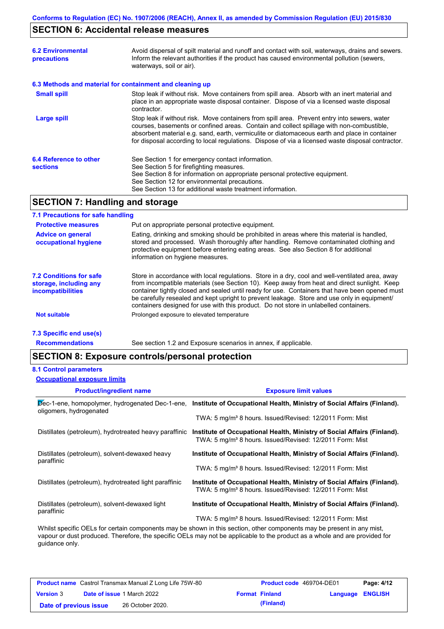## **SECTION 6: Accidental release measures**

| <b>6.2 Environmental</b><br><b>precautions</b>           | Avoid dispersal of spilt material and runoff and contact with soil, waterways, drains and sewers.<br>Inform the relevant authorities if the product has caused environmental pollution (sewers,<br>waterways, soil or air).                                                                                                                                                                    |
|----------------------------------------------------------|------------------------------------------------------------------------------------------------------------------------------------------------------------------------------------------------------------------------------------------------------------------------------------------------------------------------------------------------------------------------------------------------|
| 6.3 Methods and material for containment and cleaning up |                                                                                                                                                                                                                                                                                                                                                                                                |
| <b>Small spill</b>                                       | Stop leak if without risk. Move containers from spill area. Absorb with an inert material and<br>place in an appropriate waste disposal container. Dispose of via a licensed waste disposal<br>contractor.                                                                                                                                                                                     |
| Large spill                                              | Stop leak if without risk. Move containers from spill area. Prevent entry into sewers, water<br>courses, basements or confined areas. Contain and collect spillage with non-combustible,<br>absorbent material e.g. sand, earth, vermiculite or diatomaceous earth and place in container<br>for disposal according to local regulations. Dispose of via a licensed waste disposal contractor. |
| 6.4 Reference to other<br><b>sections</b>                | See Section 1 for emergency contact information.<br>See Section 5 for firefighting measures.<br>See Section 8 for information on appropriate personal protective equipment.<br>See Section 12 for environmental precautions.<br>See Section 13 for additional waste treatment information.                                                                                                     |

## **SECTION 7: Handling and storage**

### **7.1 Precautions for safe handling**

| <b>Protective measures</b>                                                           | Put on appropriate personal protective equipment.                                                                                                                                                                                                                                                                                                                                                                                                                                        |
|--------------------------------------------------------------------------------------|------------------------------------------------------------------------------------------------------------------------------------------------------------------------------------------------------------------------------------------------------------------------------------------------------------------------------------------------------------------------------------------------------------------------------------------------------------------------------------------|
| <b>Advice on general</b><br>occupational hygiene                                     | Eating, drinking and smoking should be prohibited in areas where this material is handled,<br>stored and processed. Wash thoroughly after handling. Remove contaminated clothing and<br>protective equipment before entering eating areas. See also Section 8 for additional<br>information on hygiene measures.                                                                                                                                                                         |
| <b>7.2 Conditions for safe</b><br>storage, including any<br><i>incompatibilities</i> | Store in accordance with local requlations. Store in a dry, cool and well-ventilated area, away<br>from incompatible materials (see Section 10). Keep away from heat and direct sunlight. Keep<br>container tightly closed and sealed until ready for use. Containers that have been opened must<br>be carefully resealed and kept upright to prevent leakage. Store and use only in equipment/<br>containers designed for use with this product. Do not store in unlabelled containers. |
| <b>Not suitable</b>                                                                  | Prolonged exposure to elevated temperature                                                                                                                                                                                                                                                                                                                                                                                                                                               |
|                                                                                      |                                                                                                                                                                                                                                                                                                                                                                                                                                                                                          |

## **7.3 Specific end use(s)**

**Recommendations**

See section 1.2 and Exposure scenarios in annex, if applicable.

## **SECTION 8: Exposure controls/personal protection**

### **8.1 Control parameters**

**Occupational exposure limits**

| <b>Product/ingredient name</b>                               | <b>Exposure limit values</b>                                                                                                                    |
|--------------------------------------------------------------|-------------------------------------------------------------------------------------------------------------------------------------------------|
| oligomers, hydrogenated                                      | Dec-1-ene, homopolymer, hydrogenated Dec-1-ene, Institute of Occupational Health, Ministry of Social Affairs (Finland).                         |
|                                                              | TWA: 5 mg/m <sup>3</sup> 8 hours. Issued/Revised: 12/2011 Form: Mist                                                                            |
| Distillates (petroleum), hydrotreated heavy paraffinic       | Institute of Occupational Health, Ministry of Social Affairs (Finland).<br>TWA: 5 mg/m <sup>3</sup> 8 hours. Issued/Revised: 12/2011 Form: Mist |
| Distillates (petroleum), solvent-dewaxed heavy<br>paraffinic | Institute of Occupational Health, Ministry of Social Affairs (Finland).                                                                         |
|                                                              | TWA: 5 mg/m <sup>3</sup> 8 hours. Issued/Revised: 12/2011 Form: Mist                                                                            |
| Distillates (petroleum), hydrotreated light paraffinic       | Institute of Occupational Health, Ministry of Social Affairs (Finland).<br>TWA: 5 mg/m <sup>3</sup> 8 hours. Issued/Revised: 12/2011 Form: Mist |
| Distillates (petroleum), solvent-dewaxed light<br>paraffinic | Institute of Occupational Health, Ministry of Social Affairs (Finland).                                                                         |
|                                                              | TWA: 5 mg/m <sup>3</sup> 8 hours. Issued/Revised: 12/2011 Form: Mist                                                                            |
|                                                              | Whilst specific OELs for certain components may be shown in this section, other components may be present in any mist                           |

Whilst specific OELs for certain components may be shown in this section, other components may be present in any mist, vapour or dust produced. Therefore, the specific OELs may not be applicable to the product as a whole and are provided for guidance only.

| <b>Product name</b> Castrol Transmax Manual Z Long Life 75W-80 |  |                                   | <b>Product code</b> 469704-DE01 |                  | Page: 4/12 |
|----------------------------------------------------------------|--|-----------------------------------|---------------------------------|------------------|------------|
| <b>Version 3</b>                                               |  | <b>Date of issue 1 March 2022</b> | <b>Format Finland</b>           | Language ENGLISH |            |
| Date of previous issue                                         |  | 26 October 2020.                  | (Finland)                       |                  |            |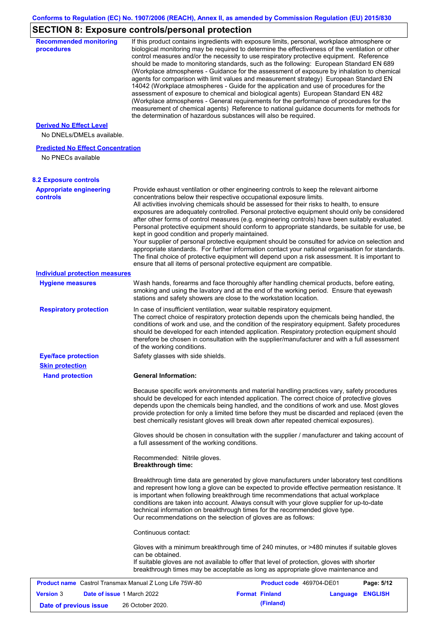# **SECTION 8: Exposure controls/personal protection**

| <b>Recommended monitoring</b><br>procedures                    | If this product contains ingredients with exposure limits, personal, workplace atmosphere or<br>biological monitoring may be required to determine the effectiveness of the ventilation or other<br>control measures and/or the necessity to use respiratory protective equipment. Reference<br>should be made to monitoring standards, such as the following: European Standard EN 689<br>(Workplace atmospheres - Guidance for the assessment of exposure by inhalation to chemical<br>agents for comparison with limit values and measurement strategy) European Standard EN<br>14042 (Workplace atmospheres - Guide for the application and use of procedures for the<br>assessment of exposure to chemical and biological agents) European Standard EN 482<br>(Workplace atmospheres - General requirements for the performance of procedures for the<br>measurement of chemical agents) Reference to national guidance documents for methods for<br>the determination of hazardous substances will also be required. |                                                                                                                                                                                                                                                                                                                                                                                                                                                                                                                                                                                                                                                                                                                                                                                                                                                                                                                                                      |                  |            |  |  |
|----------------------------------------------------------------|----------------------------------------------------------------------------------------------------------------------------------------------------------------------------------------------------------------------------------------------------------------------------------------------------------------------------------------------------------------------------------------------------------------------------------------------------------------------------------------------------------------------------------------------------------------------------------------------------------------------------------------------------------------------------------------------------------------------------------------------------------------------------------------------------------------------------------------------------------------------------------------------------------------------------------------------------------------------------------------------------------------------------|------------------------------------------------------------------------------------------------------------------------------------------------------------------------------------------------------------------------------------------------------------------------------------------------------------------------------------------------------------------------------------------------------------------------------------------------------------------------------------------------------------------------------------------------------------------------------------------------------------------------------------------------------------------------------------------------------------------------------------------------------------------------------------------------------------------------------------------------------------------------------------------------------------------------------------------------------|------------------|------------|--|--|
| <b>Derived No Effect Level</b><br>No DNELs/DMELs available.    |                                                                                                                                                                                                                                                                                                                                                                                                                                                                                                                                                                                                                                                                                                                                                                                                                                                                                                                                                                                                                            |                                                                                                                                                                                                                                                                                                                                                                                                                                                                                                                                                                                                                                                                                                                                                                                                                                                                                                                                                      |                  |            |  |  |
| <b>Predicted No Effect Concentration</b><br>No PNECs available |                                                                                                                                                                                                                                                                                                                                                                                                                                                                                                                                                                                                                                                                                                                                                                                                                                                                                                                                                                                                                            |                                                                                                                                                                                                                                                                                                                                                                                                                                                                                                                                                                                                                                                                                                                                                                                                                                                                                                                                                      |                  |            |  |  |
| <b>8.2 Exposure controls</b>                                   |                                                                                                                                                                                                                                                                                                                                                                                                                                                                                                                                                                                                                                                                                                                                                                                                                                                                                                                                                                                                                            |                                                                                                                                                                                                                                                                                                                                                                                                                                                                                                                                                                                                                                                                                                                                                                                                                                                                                                                                                      |                  |            |  |  |
| <b>Appropriate engineering</b><br><b>controls</b>              | kept in good condition and properly maintained.                                                                                                                                                                                                                                                                                                                                                                                                                                                                                                                                                                                                                                                                                                                                                                                                                                                                                                                                                                            | Provide exhaust ventilation or other engineering controls to keep the relevant airborne<br>concentrations below their respective occupational exposure limits.<br>All activities involving chemicals should be assessed for their risks to health, to ensure<br>exposures are adequately controlled. Personal protective equipment should only be considered<br>after other forms of control measures (e.g. engineering controls) have been suitably evaluated.<br>Personal protective equipment should conform to appropriate standards, be suitable for use, be<br>Your supplier of personal protective equipment should be consulted for advice on selection and<br>appropriate standards. For further information contact your national organisation for standards.<br>The final choice of protective equipment will depend upon a risk assessment. It is important to<br>ensure that all items of personal protective equipment are compatible. |                  |            |  |  |
| <b>Individual protection measures</b>                          |                                                                                                                                                                                                                                                                                                                                                                                                                                                                                                                                                                                                                                                                                                                                                                                                                                                                                                                                                                                                                            |                                                                                                                                                                                                                                                                                                                                                                                                                                                                                                                                                                                                                                                                                                                                                                                                                                                                                                                                                      |                  |            |  |  |
| <b>Hygiene measures</b>                                        |                                                                                                                                                                                                                                                                                                                                                                                                                                                                                                                                                                                                                                                                                                                                                                                                                                                                                                                                                                                                                            | Wash hands, forearms and face thoroughly after handling chemical products, before eating,<br>smoking and using the lavatory and at the end of the working period. Ensure that eyewash<br>stations and safety showers are close to the workstation location.                                                                                                                                                                                                                                                                                                                                                                                                                                                                                                                                                                                                                                                                                          |                  |            |  |  |
| <b>Respiratory protection</b>                                  | In case of insufficient ventilation, wear suitable respiratory equipment.<br>The correct choice of respiratory protection depends upon the chemicals being handled, the<br>conditions of work and use, and the condition of the respiratory equipment. Safety procedures<br>should be developed for each intended application. Respiratory protection equipment should<br>therefore be chosen in consultation with the supplier/manufacturer and with a full assessment<br>of the working conditions.                                                                                                                                                                                                                                                                                                                                                                                                                                                                                                                      |                                                                                                                                                                                                                                                                                                                                                                                                                                                                                                                                                                                                                                                                                                                                                                                                                                                                                                                                                      |                  |            |  |  |
| <b>Eye/face protection</b><br><b>Skin protection</b>           | Safety glasses with side shields.                                                                                                                                                                                                                                                                                                                                                                                                                                                                                                                                                                                                                                                                                                                                                                                                                                                                                                                                                                                          |                                                                                                                                                                                                                                                                                                                                                                                                                                                                                                                                                                                                                                                                                                                                                                                                                                                                                                                                                      |                  |            |  |  |
| <b>Hand protection</b>                                         | <b>General Information:</b>                                                                                                                                                                                                                                                                                                                                                                                                                                                                                                                                                                                                                                                                                                                                                                                                                                                                                                                                                                                                |                                                                                                                                                                                                                                                                                                                                                                                                                                                                                                                                                                                                                                                                                                                                                                                                                                                                                                                                                      |                  |            |  |  |
|                                                                |                                                                                                                                                                                                                                                                                                                                                                                                                                                                                                                                                                                                                                                                                                                                                                                                                                                                                                                                                                                                                            | Because specific work environments and material handling practices vary, safety procedures<br>should be developed for each intended application. The correct choice of protective gloves<br>depends upon the chemicals being handled, and the conditions of work and use. Most gloves<br>provide protection for only a limited time before they must be discarded and replaced (even the<br>best chemically resistant gloves will break down after repeated chemical exposures).                                                                                                                                                                                                                                                                                                                                                                                                                                                                     |                  |            |  |  |
|                                                                | a full assessment of the working conditions.                                                                                                                                                                                                                                                                                                                                                                                                                                                                                                                                                                                                                                                                                                                                                                                                                                                                                                                                                                               | Gloves should be chosen in consultation with the supplier / manufacturer and taking account of                                                                                                                                                                                                                                                                                                                                                                                                                                                                                                                                                                                                                                                                                                                                                                                                                                                       |                  |            |  |  |
|                                                                | Recommended: Nitrile gloves.<br><b>Breakthrough time:</b>                                                                                                                                                                                                                                                                                                                                                                                                                                                                                                                                                                                                                                                                                                                                                                                                                                                                                                                                                                  |                                                                                                                                                                                                                                                                                                                                                                                                                                                                                                                                                                                                                                                                                                                                                                                                                                                                                                                                                      |                  |            |  |  |
|                                                                |                                                                                                                                                                                                                                                                                                                                                                                                                                                                                                                                                                                                                                                                                                                                                                                                                                                                                                                                                                                                                            | Breakthrough time data are generated by glove manufacturers under laboratory test conditions<br>and represent how long a glove can be expected to provide effective permeation resistance. It<br>is important when following breakthrough time recommendations that actual workplace<br>conditions are taken into account. Always consult with your glove supplier for up-to-date<br>technical information on breakthrough times for the recommended glove type.<br>Our recommendations on the selection of gloves are as follows:                                                                                                                                                                                                                                                                                                                                                                                                                   |                  |            |  |  |
|                                                                | Continuous contact:                                                                                                                                                                                                                                                                                                                                                                                                                                                                                                                                                                                                                                                                                                                                                                                                                                                                                                                                                                                                        |                                                                                                                                                                                                                                                                                                                                                                                                                                                                                                                                                                                                                                                                                                                                                                                                                                                                                                                                                      |                  |            |  |  |
|                                                                | can be obtained.                                                                                                                                                                                                                                                                                                                                                                                                                                                                                                                                                                                                                                                                                                                                                                                                                                                                                                                                                                                                           | Gloves with a minimum breakthrough time of 240 minutes, or >480 minutes if suitable gloves<br>If suitable gloves are not available to offer that level of protection, gloves with shorter<br>breakthrough times may be acceptable as long as appropriate glove maintenance and                                                                                                                                                                                                                                                                                                                                                                                                                                                                                                                                                                                                                                                                       |                  |            |  |  |
| Product name Castrol Transmax Manual Z Long Life 75W-80        |                                                                                                                                                                                                                                                                                                                                                                                                                                                                                                                                                                                                                                                                                                                                                                                                                                                                                                                                                                                                                            | Product code 469704-DE01                                                                                                                                                                                                                                                                                                                                                                                                                                                                                                                                                                                                                                                                                                                                                                                                                                                                                                                             |                  | Page: 5/12 |  |  |
| <b>Version 3</b><br><b>Date of issue 1 March 2022</b>          |                                                                                                                                                                                                                                                                                                                                                                                                                                                                                                                                                                                                                                                                                                                                                                                                                                                                                                                                                                                                                            | <b>Format Finland</b>                                                                                                                                                                                                                                                                                                                                                                                                                                                                                                                                                                                                                                                                                                                                                                                                                                                                                                                                | Language ENGLISH |            |  |  |
| Date of previous issue                                         | 26 October 2020.                                                                                                                                                                                                                                                                                                                                                                                                                                                                                                                                                                                                                                                                                                                                                                                                                                                                                                                                                                                                           | (Finland)                                                                                                                                                                                                                                                                                                                                                                                                                                                                                                                                                                                                                                                                                                                                                                                                                                                                                                                                            |                  |            |  |  |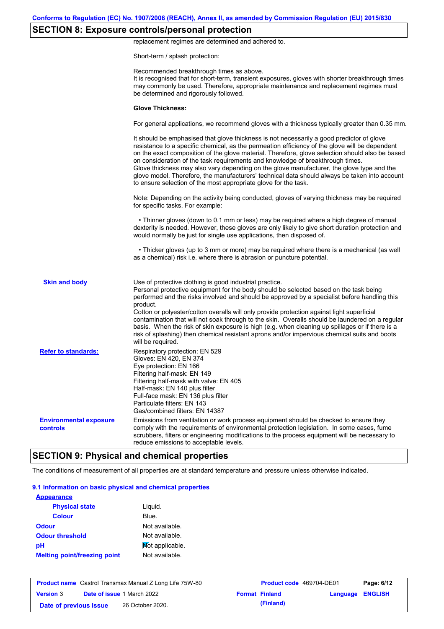## **SECTION 8: Exposure controls/personal protection**

replacement regimes are determined and adhered to.

Short-term / splash protection:

|                                           | Recommended breakthrough times as above.<br>It is recognised that for short-term, transient exposures, gloves with shorter breakthrough times<br>may commonly be used. Therefore, appropriate maintenance and replacement regimes must<br>be determined and rigorously followed.                                                                                                                                                                                                                                                                                                                                                                                                      |
|-------------------------------------------|---------------------------------------------------------------------------------------------------------------------------------------------------------------------------------------------------------------------------------------------------------------------------------------------------------------------------------------------------------------------------------------------------------------------------------------------------------------------------------------------------------------------------------------------------------------------------------------------------------------------------------------------------------------------------------------|
|                                           | <b>Glove Thickness:</b>                                                                                                                                                                                                                                                                                                                                                                                                                                                                                                                                                                                                                                                               |
|                                           | For general applications, we recommend gloves with a thickness typically greater than 0.35 mm.                                                                                                                                                                                                                                                                                                                                                                                                                                                                                                                                                                                        |
|                                           | It should be emphasised that glove thickness is not necessarily a good predictor of glove<br>resistance to a specific chemical, as the permeation efficiency of the glove will be dependent<br>on the exact composition of the glove material. Therefore, glove selection should also be based<br>on consideration of the task requirements and knowledge of breakthrough times.<br>Glove thickness may also vary depending on the glove manufacturer, the glove type and the<br>glove model. Therefore, the manufacturers' technical data should always be taken into account<br>to ensure selection of the most appropriate glove for the task.                                     |
|                                           | Note: Depending on the activity being conducted, gloves of varying thickness may be required<br>for specific tasks. For example:                                                                                                                                                                                                                                                                                                                                                                                                                                                                                                                                                      |
|                                           | • Thinner gloves (down to 0.1 mm or less) may be required where a high degree of manual<br>dexterity is needed. However, these gloves are only likely to give short duration protection and<br>would normally be just for single use applications, then disposed of.                                                                                                                                                                                                                                                                                                                                                                                                                  |
|                                           | • Thicker gloves (up to 3 mm or more) may be required where there is a mechanical (as well<br>as a chemical) risk i.e. where there is abrasion or puncture potential.                                                                                                                                                                                                                                                                                                                                                                                                                                                                                                                 |
| <b>Skin and body</b>                      | Use of protective clothing is good industrial practice.<br>Personal protective equipment for the body should be selected based on the task being<br>performed and the risks involved and should be approved by a specialist before handling this<br>product.<br>Cotton or polyester/cotton overalls will only provide protection against light superficial<br>contamination that will not soak through to the skin. Overalls should be laundered on a regular<br>basis. When the risk of skin exposure is high (e.g. when cleaning up spillages or if there is a<br>risk of splashing) then chemical resistant aprons and/or impervious chemical suits and boots<br>will be required. |
| <b>Refer to standards:</b>                | Respiratory protection: EN 529<br>Gloves: EN 420, EN 374<br>Eye protection: EN 166<br>Filtering half-mask: EN 149<br>Filtering half-mask with valve: EN 405<br>Half-mask: EN 140 plus filter<br>Full-face mask: EN 136 plus filter<br>Particulate filters: EN 143<br>Gas/combined filters: EN 14387                                                                                                                                                                                                                                                                                                                                                                                   |
| <b>Environmental exposure</b><br>controls | Emissions from ventilation or work process equipment should be checked to ensure they<br>comply with the requirements of environmental protection legislation. In some cases, fume<br>scrubbers, filters or engineering modifications to the process equipment will be necessary to<br>reduce emissions to acceptable levels.                                                                                                                                                                                                                                                                                                                                                         |

# **SECTION 9: Physical and chemical properties**

The conditions of measurement of all properties are at standard temperature and pressure unless otherwise indicated.

### **9.1 Information on basic physical and chemical properties**

| <b>Appearance</b>                   |                 |
|-------------------------------------|-----------------|
| <b>Physical state</b>               | Liquid.         |
| <b>Colour</b>                       | Blue.           |
| <b>Odour</b>                        | Not available.  |
| <b>Odour threshold</b>              | Not available.  |
| рH                                  | Mot applicable. |
| <b>Melting point/freezing point</b> | Not available.  |

|                        | <b>Product name</b> Castrol Transmax Manual Z Long Life 75W-80 | <b>Product code</b> 469704-DE01 |                  | Page: 6/12 |
|------------------------|----------------------------------------------------------------|---------------------------------|------------------|------------|
| <b>Version 3</b>       | <b>Date of issue 1 March 2022</b>                              | <b>Format Finland</b>           | Language ENGLISH |            |
| Date of previous issue | 26 October 2020.                                               | (Finland)                       |                  |            |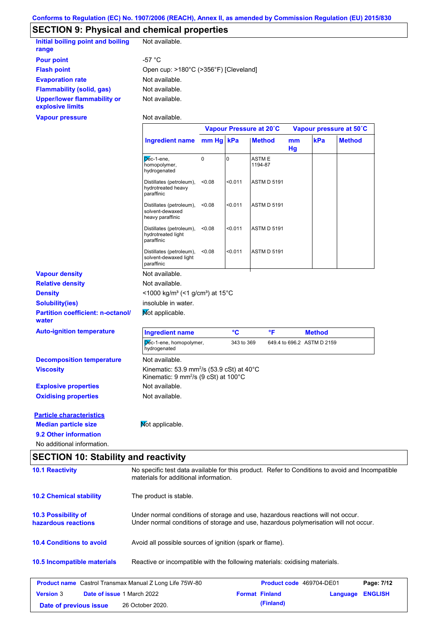## **SECTION 9: Physical and chemical properties**

| Initial boiling point and boiling<br>range             | Not available.                        |
|--------------------------------------------------------|---------------------------------------|
| <b>Pour point</b>                                      | -57 °C                                |
| <b>Flash point</b>                                     | Open cup: >180°C (>356°F) [Cleveland] |
| <b>Evaporation rate</b>                                | Not available.                        |
| Flammability (solid, gas)                              | Not available.                        |
| <b>Upper/lower flammability or</b><br>explosive limits | Not available.                        |

**Vapour pressure**

Not available.

 $\mathbf{r}$ 

|                                                                                         |                                                                                                                      | Vapour Pressure at 20°C |            |                         | Vapour pressure at 50°C |                            |               |
|-----------------------------------------------------------------------------------------|----------------------------------------------------------------------------------------------------------------------|-------------------------|------------|-------------------------|-------------------------|----------------------------|---------------|
|                                                                                         | <b>Ingredient name</b>                                                                                               | mm Hg kPa               |            | <b>Method</b>           | mm<br>Hg                | kPa                        | <b>Method</b> |
|                                                                                         | Déc-1-ene.<br>homopolymer,<br>hydrogenated                                                                           | 0                       | 0          | <b>ASTME</b><br>1194-87 |                         |                            |               |
|                                                                                         | Distillates (petroleum),<br>hydrotreated heavy<br>paraffinic                                                         | < 0.08                  | < 0.011    | <b>ASTM D 5191</b>      |                         |                            |               |
|                                                                                         | Distillates (petroleum),<br>solvent-dewaxed<br>heavy paraffinic                                                      | < 0.08                  | < 0.011    | <b>ASTM D 5191</b>      |                         |                            |               |
|                                                                                         | Distillates (petroleum),<br>hydrotreated light<br>paraffinic                                                         | < 0.08                  | < 0.011    | <b>ASTM D 5191</b>      |                         |                            |               |
|                                                                                         | Distillates (petroleum),<br>solvent-dewaxed light<br>paraffinic                                                      | < 0.08                  | < 0.011    | <b>ASTM D 5191</b>      |                         |                            |               |
| <b>Vapour density</b>                                                                   | Not available.                                                                                                       |                         |            |                         |                         |                            |               |
| <b>Relative density</b>                                                                 | Not available.                                                                                                       |                         |            |                         |                         |                            |               |
| <b>Density</b>                                                                          | <1000 kg/m <sup>3</sup> (<1 g/cm <sup>3</sup> ) at 15°C                                                              |                         |            |                         |                         |                            |               |
| <b>Solubility(ies)</b>                                                                  | insoluble in water.                                                                                                  |                         |            |                         |                         |                            |               |
| <b>Partition coefficient: n-octanol/</b><br>water                                       | Mot applicable.                                                                                                      |                         |            |                         |                         |                            |               |
| <b>Auto-ignition temperature</b>                                                        | <b>Ingredient name</b>                                                                                               |                         | °C         | °F                      |                         | <b>Method</b>              |               |
|                                                                                         | Dec-1-ene, homopolymer,<br>hydrogenated                                                                              |                         | 343 to 369 |                         |                         | 649.4 to 696.2 ASTM D 2159 |               |
| <b>Decomposition temperature</b>                                                        | Not available.                                                                                                       |                         |            |                         |                         |                            |               |
| <b>Viscosity</b>                                                                        | Kinematic: 53.9 mm <sup>2</sup> /s (53.9 cSt) at 40 $^{\circ}$ C<br>Kinematic: 9 mm <sup>2</sup> /s (9 cSt) at 100°C |                         |            |                         |                         |                            |               |
| <b>Explosive properties</b>                                                             | Not available.                                                                                                       |                         |            |                         |                         |                            |               |
| <b>Oxidising properties</b>                                                             | Not available.                                                                                                       |                         |            |                         |                         |                            |               |
|                                                                                         |                                                                                                                      |                         |            |                         |                         |                            |               |
|                                                                                         |                                                                                                                      |                         |            |                         |                         |                            |               |
|                                                                                         | Mot applicable.                                                                                                      |                         |            |                         |                         |                            |               |
| <b>Particle characteristics</b><br><b>Median particle size</b><br>9.2 Other information |                                                                                                                      |                         |            |                         |                         |                            |               |

| <b>SECTION 10: Stability and reactivity</b>       |                                                                             |                                                                                                                                                                         |                          |          |                |  |
|---------------------------------------------------|-----------------------------------------------------------------------------|-------------------------------------------------------------------------------------------------------------------------------------------------------------------------|--------------------------|----------|----------------|--|
| <b>10.1 Reactivity</b>                            |                                                                             | No specific test data available for this product. Refer to Conditions to avoid and Incompatible<br>materials for additional information.                                |                          |          |                |  |
| <b>10.2 Chemical stability</b>                    | The product is stable.                                                      |                                                                                                                                                                         |                          |          |                |  |
| <b>10.3 Possibility of</b><br>hazardous reactions |                                                                             | Under normal conditions of storage and use, hazardous reactions will not occur.<br>Under normal conditions of storage and use, hazardous polymerisation will not occur. |                          |          |                |  |
| <b>10.4 Conditions to avoid</b>                   | Avoid all possible sources of ignition (spark or flame).                    |                                                                                                                                                                         |                          |          |                |  |
| 10.5 Incompatible materials                       | Reactive or incompatible with the following materials: oxidising materials. |                                                                                                                                                                         |                          |          |                |  |
|                                                   | <b>Product name</b> Castrol Transmax Manual Z Long Life 75W-80              |                                                                                                                                                                         | Product code 469704-DE01 |          | Page: 7/12     |  |
| <b>Version 3</b>                                  | Date of issue 1 March 2022                                                  | <b>Format Finland</b>                                                                                                                                                   |                          | Language | <b>ENGLISH</b> |  |
| Date of previous issue                            | 26 October 2020.                                                            | (Finland)                                                                                                                                                               |                          |          |                |  |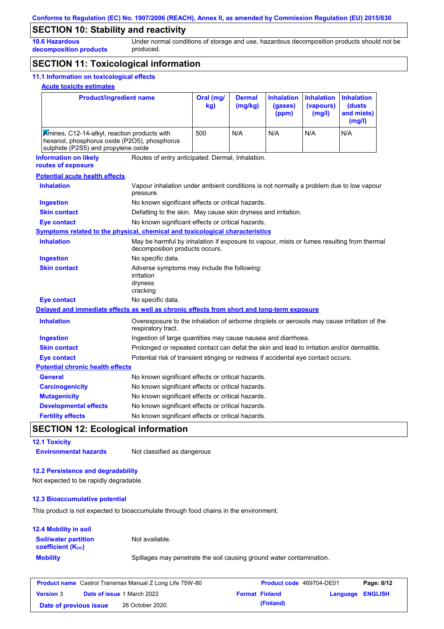## **SECTION 10: Stability and reactivity**

**10.6 Hazardous decomposition products** Under normal conditions of storage and use, hazardous decomposition products should not be produced.

## **SECTION 11: Toxicological information**

### **11.1 Information on toxicological effects**

### **Acute toxicity estimates**

| <b>Product/ingredient name</b>                                                                                                      |                                                                                                     | Oral (mg/<br>kg)                                                                                                            | <b>Dermal</b><br>(mg/kg) | <b>Inhalation</b><br>(gases)<br>(ppm) | <b>Inhalation</b><br>(vapours)<br>(mg/l) | <b>Inhalation</b><br>(dusts<br>and mists)<br>(mg/l) |  |
|-------------------------------------------------------------------------------------------------------------------------------------|-----------------------------------------------------------------------------------------------------|-----------------------------------------------------------------------------------------------------------------------------|--------------------------|---------------------------------------|------------------------------------------|-----------------------------------------------------|--|
| Amines, C12-14-alkyl, reaction products with<br>hexanol, phosphorus oxide (P2O5), phosphorus<br>sulphide (P2S5) and propylene oxide |                                                                                                     | 500                                                                                                                         | N/A                      | N/A                                   | N/A                                      | N/A                                                 |  |
| <b>Information on likely</b>                                                                                                        | Routes of entry anticipated: Dermal, Inhalation.                                                    |                                                                                                                             |                          |                                       |                                          |                                                     |  |
| routes of exposure                                                                                                                  |                                                                                                     |                                                                                                                             |                          |                                       |                                          |                                                     |  |
| <b>Potential acute health effects</b>                                                                                               |                                                                                                     |                                                                                                                             |                          |                                       |                                          |                                                     |  |
| <b>Inhalation</b>                                                                                                                   | Vapour inhalation under ambient conditions is not normally a problem due to low vapour<br>pressure. |                                                                                                                             |                          |                                       |                                          |                                                     |  |
| <b>Ingestion</b>                                                                                                                    | No known significant effects or critical hazards.                                                   |                                                                                                                             |                          |                                       |                                          |                                                     |  |
| <b>Skin contact</b>                                                                                                                 | Defatting to the skin. May cause skin dryness and irritation.                                       |                                                                                                                             |                          |                                       |                                          |                                                     |  |
| <b>Eye contact</b>                                                                                                                  | No known significant effects or critical hazards.                                                   |                                                                                                                             |                          |                                       |                                          |                                                     |  |
| Symptoms related to the physical, chemical and toxicological characteristics                                                        |                                                                                                     |                                                                                                                             |                          |                                       |                                          |                                                     |  |
| <b>Inhalation</b>                                                                                                                   |                                                                                                     | May be harmful by inhalation if exposure to vapour, mists or fumes resulting from thermal<br>decomposition products occurs. |                          |                                       |                                          |                                                     |  |
| <b>Ingestion</b>                                                                                                                    | No specific data.                                                                                   |                                                                                                                             |                          |                                       |                                          |                                                     |  |
| <b>Skin contact</b>                                                                                                                 | Adverse symptoms may include the following:<br>irritation<br>dryness<br>cracking                    |                                                                                                                             |                          |                                       |                                          |                                                     |  |
| <b>Eye contact</b>                                                                                                                  | No specific data.                                                                                   |                                                                                                                             |                          |                                       |                                          |                                                     |  |
| Delayed and immediate effects as well as chronic effects from short and long-term exposure                                          |                                                                                                     |                                                                                                                             |                          |                                       |                                          |                                                     |  |
| <b>Inhalation</b>                                                                                                                   | respiratory tract.                                                                                  | Overexposure to the inhalation of airborne droplets or aerosols may cause irritation of the                                 |                          |                                       |                                          |                                                     |  |
| <b>Ingestion</b>                                                                                                                    |                                                                                                     | Ingestion of large quantities may cause nausea and diarrhoea.                                                               |                          |                                       |                                          |                                                     |  |
| <b>Skin contact</b>                                                                                                                 | Prolonged or repeated contact can defat the skin and lead to irritation and/or dermatitis.          |                                                                                                                             |                          |                                       |                                          |                                                     |  |
| <b>Eye contact</b>                                                                                                                  | Potential risk of transient stinging or redness if accidental eye contact occurs.                   |                                                                                                                             |                          |                                       |                                          |                                                     |  |
| <b>Potential chronic health effects</b>                                                                                             |                                                                                                     |                                                                                                                             |                          |                                       |                                          |                                                     |  |
| General                                                                                                                             | No known significant effects or critical hazards.                                                   |                                                                                                                             |                          |                                       |                                          |                                                     |  |
| <b>Carcinogenicity</b>                                                                                                              | No known significant effects or critical hazards.                                                   |                                                                                                                             |                          |                                       |                                          |                                                     |  |
| <b>Mutagenicity</b>                                                                                                                 | No known significant effects or critical hazards.                                                   |                                                                                                                             |                          |                                       |                                          |                                                     |  |
| <b>Developmental effects</b>                                                                                                        | No known significant effects or critical hazards.                                                   |                                                                                                                             |                          |                                       |                                          |                                                     |  |
| <b>Fertility effects</b>                                                                                                            | No known significant effects or critical hazards.                                                   |                                                                                                                             |                          |                                       |                                          |                                                     |  |

## **SECTION 12: Ecological information**

| <b>12.1 Toxicity</b>         |                             |
|------------------------------|-----------------------------|
| <b>Environmental hazards</b> | Not classified as dangerous |

### **12.2 Persistence and degradability**

Not expected to be rapidly degradable.

#### **12.3 Bioaccumulative potential**

This product is not expected to bioaccumulate through food chains in the environment.

| <b>12.4 Mobility in soil</b>                                  |                                                                      |
|---------------------------------------------------------------|----------------------------------------------------------------------|
| <b>Soil/water partition</b><br>coefficient (K <sub>oc</sub> ) | Not available.                                                       |
| <b>Mobility</b>                                               | Spillages may penetrate the soil causing ground water contamination. |

| <b>Product name</b> Castrol Transmax Manual Z Long Life 75W-80 |  | <b>Product code</b> 469704-DE01   |  | Page: 8/12            |                         |  |
|----------------------------------------------------------------|--|-----------------------------------|--|-----------------------|-------------------------|--|
| <b>Version 3</b>                                               |  | <b>Date of issue 1 March 2022</b> |  | <b>Format Finland</b> | <b>Language ENGLISH</b> |  |
| Date of previous issue                                         |  | 26 October 2020.                  |  | (Finland)             |                         |  |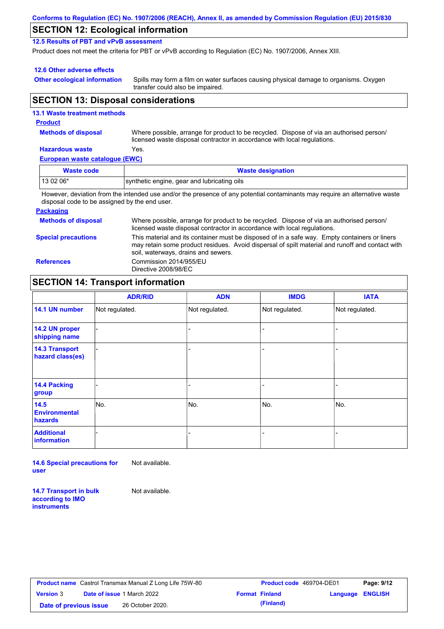| Conforms to Regulation (EC) No. 1907/2006 (REACH), Annex II, as amended by Commission Regulation (EU) 2015/830 |  |
|----------------------------------------------------------------------------------------------------------------|--|
|----------------------------------------------------------------------------------------------------------------|--|

### **SECTION 12: Ecological information**

**12.5 Results of PBT and vPvB assessment**

Product does not meet the criteria for PBT or vPvB according to Regulation (EC) No. 1907/2006, Annex XIII.

### **12.6 Other adverse effects**

**Other ecological information**

Spills may form a film on water surfaces causing physical damage to organisms. Oxygen transfer could also be impaired.

### **SECTION 13: Disposal considerations**

### **European waste catalogue (EWC) Hazardous waste** Yes. Where possible, arrange for product to be recycled. Dispose of via an authorised person/ licensed waste disposal contractor in accordance with local regulations. **Methods of disposal 13.1 Waste treatment methods Product Waste code Waste designation** 13 02 06\* synthetic engine, gear and lubricating oils

However, deviation from the intended use and/or the presence of any potential contaminants may require an alternative waste disposal code to be assigned by the end user.

### **Packaging**

| <b>Methods of disposal</b> | Where possible, arrange for product to be recycled. Dispose of via an authorised person/<br>licensed waste disposal contractor in accordance with local regulations.                                                                    |
|----------------------------|-----------------------------------------------------------------------------------------------------------------------------------------------------------------------------------------------------------------------------------------|
| <b>Special precautions</b> | This material and its container must be disposed of in a safe way. Empty containers or liners<br>may retain some product residues. Avoid dispersal of spilt material and runoff and contact with<br>soil, waterways, drains and sewers. |
| <b>References</b>          | Commission 2014/955/EU<br>Directive 2008/98/EC                                                                                                                                                                                          |

### **SECTION 14: Transport information**

|                                                | <b>ADR/RID</b> | <b>ADN</b>     | <b>IMDG</b>    | <b>IATA</b>    |
|------------------------------------------------|----------------|----------------|----------------|----------------|
| 14.1 UN number                                 | Not regulated. | Not regulated. | Not regulated. | Not regulated. |
| 14.2 UN proper<br>shipping name                |                |                |                |                |
| <b>14.3 Transport</b><br>hazard class(es)      |                |                |                |                |
| 14.4 Packing<br>group                          |                |                |                |                |
| 14.5<br><b>Environmental</b><br><b>hazards</b> | No.            | No.            | No.            | No.            |
| <b>Additional</b><br>information               |                |                |                |                |

**14.6 Special precautions for user** Not available.

**14.7 Transport in bulk according to IMO instruments**

Not available.

**Product name** Castrol Transmax Manual Z Long Life 75W-80 **Product code** 469704-DE01 **Page: 9/12 Version** 3 **Date of issue** 1 March 2022 **Format Finland Language ENGLISH Date of previous issue (Finland)** 26 October 2020.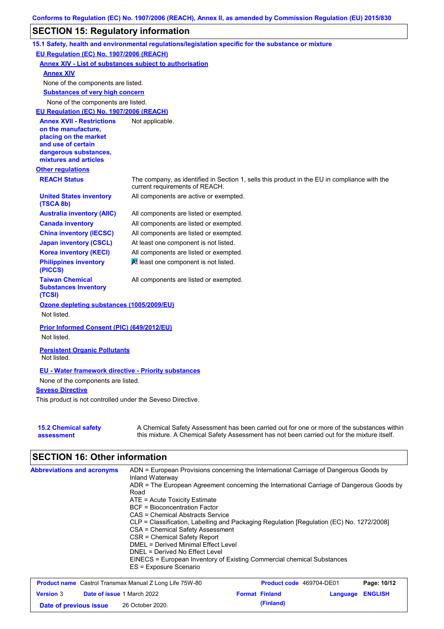## **SECTION 15: Regulatory information**

|                                                                                                                                                          | 15.1 Safety, health and environmental regulations/legislation specific for the substance or mixture                                                                                       |
|----------------------------------------------------------------------------------------------------------------------------------------------------------|-------------------------------------------------------------------------------------------------------------------------------------------------------------------------------------------|
| EU Regulation (EC) No. 1907/2006 (REACH)                                                                                                                 |                                                                                                                                                                                           |
|                                                                                                                                                          | <b>Annex XIV - List of substances subject to authorisation</b>                                                                                                                            |
| <b>Annex XIV</b>                                                                                                                                         |                                                                                                                                                                                           |
| None of the components are listed.                                                                                                                       |                                                                                                                                                                                           |
| <b>Substances of very high concern</b>                                                                                                                   |                                                                                                                                                                                           |
| None of the components are listed.                                                                                                                       |                                                                                                                                                                                           |
| EU Requlation (EC) No. 1907/2006 (REACH)                                                                                                                 |                                                                                                                                                                                           |
| <b>Annex XVII - Restrictions</b><br>on the manufacture,<br>placing on the market<br>and use of certain<br>dangerous substances,<br>mixtures and articles | Not applicable.                                                                                                                                                                           |
| <b>Other regulations</b>                                                                                                                                 |                                                                                                                                                                                           |
| <b>REACH Status</b>                                                                                                                                      | The company, as identified in Section 1, sells this product in the EU in compliance with the<br>current requirements of REACH.                                                            |
| <b>United States inventory</b><br>(TSCA 8b)                                                                                                              | All components are active or exempted.                                                                                                                                                    |
| <b>Australia inventory (AIIC)</b>                                                                                                                        | All components are listed or exempted.                                                                                                                                                    |
| <b>Canada inventory</b>                                                                                                                                  | All components are listed or exempted.                                                                                                                                                    |
| <b>China inventory (IECSC)</b>                                                                                                                           | All components are listed or exempted.                                                                                                                                                    |
| <b>Japan inventory (CSCL)</b>                                                                                                                            | At least one component is not listed.                                                                                                                                                     |
| <b>Korea inventory (KECI)</b>                                                                                                                            | All components are listed or exempted.                                                                                                                                                    |
| <b>Philippines inventory</b><br>(PICCS)                                                                                                                  | At least one component is not listed.                                                                                                                                                     |
| <b>Taiwan Chemical</b><br><b>Substances Inventory</b><br>(TCSI)                                                                                          | All components are listed or exempted.                                                                                                                                                    |
| Ozone depleting substances (1005/2009/EU)<br>Not listed.                                                                                                 |                                                                                                                                                                                           |
| Prior Informed Consent (PIC) (649/2012/EU)                                                                                                               |                                                                                                                                                                                           |
| Not listed.                                                                                                                                              |                                                                                                                                                                                           |
| <b>Persistent Organic Pollutants</b><br>Not listed.                                                                                                      |                                                                                                                                                                                           |
| <b>EU</b> - Water framework directive - Priority substances                                                                                              |                                                                                                                                                                                           |
| None of the components are listed.                                                                                                                       |                                                                                                                                                                                           |
| <b>Seveso Directive</b>                                                                                                                                  |                                                                                                                                                                                           |
| This product is not controlled under the Seveso Directive.                                                                                               |                                                                                                                                                                                           |
| <b>15.2 Chemical safety</b><br>assessment                                                                                                                | A Chemical Safety Assessment has been carried out for one or more of the substances within<br>this mixture. A Chemical Safety Assessment has not been carried out for the mixture itself. |

# **SECTION 16: Other information**

| <b>Abbreviations and acronyms</b> | ADN = European Provisions concerning the International Carriage of Dangerous Goods by<br>Inland Waterway |
|-----------------------------------|----------------------------------------------------------------------------------------------------------|
|                                   | ADR = The European Agreement concerning the International Carriage of Dangerous Goods by                 |
|                                   | Road                                                                                                     |
|                                   | $ATE =$ Acute Toxicity Estimate                                                                          |
|                                   | <b>BCF</b> = Bioconcentration Factor                                                                     |
|                                   | CAS = Chemical Abstracts Service                                                                         |
|                                   | CLP = Classification, Labelling and Packaging Regulation [Regulation (EC) No. 1272/2008]                 |
|                                   | CSA = Chemical Safety Assessment                                                                         |
|                                   | CSR = Chemical Safety Report                                                                             |
|                                   | DMEL = Derived Minimal Effect Level                                                                      |
|                                   | DNEL = Derived No Effect Level                                                                           |
|                                   | EINECS = European Inventory of Existing Commercial chemical Substances                                   |
|                                   | ES = Exposure Scenario                                                                                   |

|                        | <b>Product name</b> Castrol Transmax Manual Z Long Life 75W-80 | <b>Product code</b> 469704-DE01 |                         | Page: 10/12 |
|------------------------|----------------------------------------------------------------|---------------------------------|-------------------------|-------------|
| <b>Version 3</b>       | <b>Date of issue 1 March 2022</b>                              | <b>Format Finland</b>           | <b>Language ENGLISH</b> |             |
| Date of previous issue | 26 October 2020.                                               | (Finland)                       |                         |             |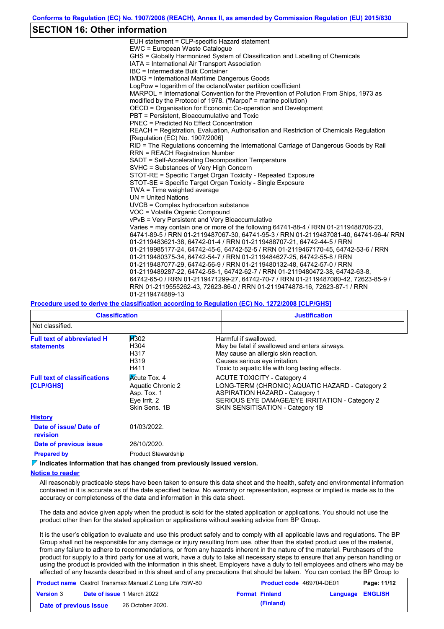### **SECTION 16: Other information**

| EUH statement = CLP-specific Hazard statement                                           |
|-----------------------------------------------------------------------------------------|
| EWC = European Waste Catalogue                                                          |
| GHS = Globally Harmonized System of Classification and Labelling of Chemicals           |
| IATA = International Air Transport Association                                          |
| IBC = Intermediate Bulk Container                                                       |
| <b>IMDG</b> = International Maritime Dangerous Goods                                    |
| LogPow = logarithm of the octanol/water partition coefficient                           |
| MARPOL = International Convention for the Prevention of Pollution From Ships, 1973 as   |
| modified by the Protocol of 1978. ("Marpol" = marine pollution)                         |
| OECD = Organisation for Economic Co-operation and Development                           |
| PBT = Persistent, Bioaccumulative and Toxic                                             |
| <b>PNEC = Predicted No Effect Concentration</b>                                         |
| REACH = Registration, Evaluation, Authorisation and Restriction of Chemicals Regulation |
| [Regulation (EC) No. 1907/2006]                                                         |
| RID = The Regulations concerning the International Carriage of Dangerous Goods by Rail  |
| <b>RRN = REACH Registration Number</b>                                                  |
| SADT = Self-Accelerating Decomposition Temperature                                      |
| SVHC = Substances of Very High Concern                                                  |
| STOT-RE = Specific Target Organ Toxicity - Repeated Exposure                            |
| STOT-SE = Specific Target Organ Toxicity - Single Exposure                              |
| TWA = Time weighted average                                                             |
| $UN = United Nations$                                                                   |
| $UVCB = Complex\;hydrocarbon\; substance$                                               |
| VOC = Volatile Organic Compound                                                         |
| vPvB = Very Persistent and Very Bioaccumulative                                         |
| Varies = may contain one or more of the following 64741-88-4 / RRN 01-2119488706-23.    |
| 64741-89-5 / RRN 01-2119487067-30, 64741-95-3 / RRN 01-2119487081-40, 64741-96-4/ RRN   |
| 01-2119483621-38, 64742-01-4 / RRN 01-2119488707-21, 64742-44-5 / RRN                   |
| 01-2119985177-24, 64742-45-6, 64742-52-5 / RRN 01-2119467170-45, 64742-53-6 / RRN       |
| 01-2119480375-34, 64742-54-7 / RRN 01-2119484627-25, 64742-55-8 / RRN                   |
| 01-2119487077-29, 64742-56-9 / RRN 01-2119480132-48, 64742-57-0 / RRN                   |
| 01-2119489287-22, 64742-58-1, 64742-62-7 / RRN 01-2119480472-38, 64742-63-8,            |
| 64742-65-0 / RRN 01-2119471299-27, 64742-70-7 / RRN 01-2119487080-42, 72623-85-9 /      |
| RRN 01-2119555262-43, 72623-86-0 / RRN 01-2119474878-16, 72623-87-1 / RRN               |
| 01-2119474889-13                                                                        |

#### **Procedure used to derive the classification according to Regulation (EC) No. 1272/2008 [CLP/GHS]**

| <b>Classification</b>                                  |                                                                                          | <b>Justification</b>                                                                                                                                                                                                 |
|--------------------------------------------------------|------------------------------------------------------------------------------------------|----------------------------------------------------------------------------------------------------------------------------------------------------------------------------------------------------------------------|
| Not classified.                                        |                                                                                          |                                                                                                                                                                                                                      |
| <b>Full text of abbreviated H</b><br><b>statements</b> | <b>H</b> 302<br>H304<br>H317<br>H319<br>H411                                             | Harmful if swallowed.<br>May be fatal if swallowed and enters airways.<br>May cause an allergic skin reaction.<br>Causes serious eye irritation.<br>Toxic to aquatic life with long lasting effects.                 |
| <b>Full text of classifications</b><br>[CLP/GHS]       | <b>Acute Tox. 4</b><br>Aquatic Chronic 2<br>Asp. Tox. 1<br>Eye Irrit. 2<br>Skin Sens, 1B | <b>ACUTE TOXICITY - Category 4</b><br>LONG-TERM (CHRONIC) AQUATIC HAZARD - Category 2<br><b>ASPIRATION HAZARD - Category 1</b><br>SERIOUS EYE DAMAGE/EYE IRRITATION - Category 2<br>SKIN SENSITISATION - Category 1B |
| <b>History</b>                                         |                                                                                          |                                                                                                                                                                                                                      |
| Date of issue/Date of<br><b>revision</b>               | 01/03/2022.                                                                              |                                                                                                                                                                                                                      |
| Date of previous issue                                 | 26/10/2020.                                                                              |                                                                                                                                                                                                                      |
| <b>Prepared by</b>                                     | <b>Product Stewardship</b>                                                               |                                                                                                                                                                                                                      |

**Indicates information that has changed from previously issued version.**

#### **Notice to reader**

All reasonably practicable steps have been taken to ensure this data sheet and the health, safety and environmental information contained in it is accurate as of the date specified below. No warranty or representation, express or implied is made as to the accuracy or completeness of the data and information in this data sheet.

The data and advice given apply when the product is sold for the stated application or applications. You should not use the product other than for the stated application or applications without seeking advice from BP Group.

It is the user's obligation to evaluate and use this product safely and to comply with all applicable laws and regulations. The BP Group shall not be responsible for any damage or injury resulting from use, other than the stated product use of the material, from any failure to adhere to recommendations, or from any hazards inherent in the nature of the material. Purchasers of the product for supply to a third party for use at work, have a duty to take all necessary steps to ensure that any person handling or using the product is provided with the information in this sheet. Employers have a duty to tell employees and others who may be affected of any hazards described in this sheet and of any precautions that should be taken. You can contact the BP Group to

| <b>Product name</b> Castrol Transmax Manual Z Long Life 75W-80 |  | <b>Product code</b> 469704-DE01   |  | Page: 11/12           |                         |  |
|----------------------------------------------------------------|--|-----------------------------------|--|-----------------------|-------------------------|--|
| <b>Version 3</b>                                               |  | <b>Date of issue 1 March 2022</b> |  | <b>Format Finland</b> | <b>Language ENGLISH</b> |  |
| Date of previous issue                                         |  | 26 October 2020.                  |  | (Finland)             |                         |  |